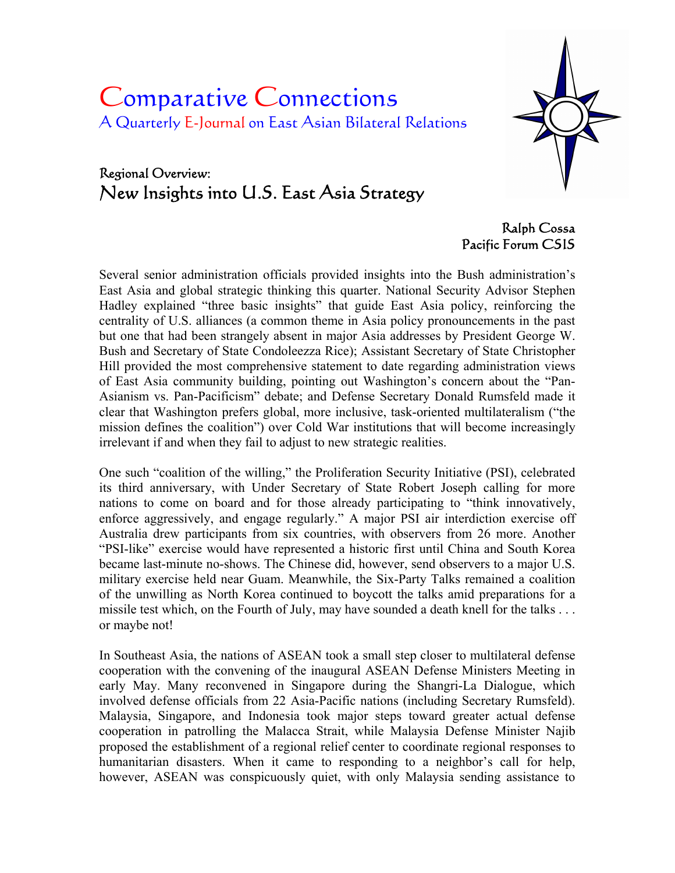# Comparative Connections A Quarterly E-Journal on East Asian Bilateral Relations

# Regional Overview: New Insights into U.S. East Asia Strategy

Ralph Cossa Pacific Forum CSIS

Several senior administration officials provided insights into the Bush administration's East Asia and global strategic thinking this quarter. National Security Advisor Stephen Hadley explained "three basic insights" that guide East Asia policy, reinforcing the centrality of U.S. alliances (a common theme in Asia policy pronouncements in the past but one that had been strangely absent in major Asia addresses by President George W. Bush and Secretary of State Condoleezza Rice); Assistant Secretary of State Christopher Hill provided the most comprehensive statement to date regarding administration views of East Asia community building, pointing out Washington's concern about the "Pan-Asianism vs. Pan-Pacificism" debate; and Defense Secretary Donald Rumsfeld made it clear that Washington prefers global, more inclusive, task-oriented multilateralism ("the mission defines the coalition") over Cold War institutions that will become increasingly irrelevant if and when they fail to adjust to new strategic realities.

One such "coalition of the willing," the Proliferation Security Initiative (PSI), celebrated its third anniversary, with Under Secretary of State Robert Joseph calling for more nations to come on board and for those already participating to "think innovatively, enforce aggressively, and engage regularly." A major PSI air interdiction exercise off Australia drew participants from six countries, with observers from 26 more. Another "PSI-like" exercise would have represented a historic first until China and South Korea became last-minute no-shows. The Chinese did, however, send observers to a major U.S. military exercise held near Guam. Meanwhile, the Six-Party Talks remained a coalition of the unwilling as North Korea continued to boycott the talks amid preparations for a missile test which, on the Fourth of July, may have sounded a death knell for the talks . . . or maybe not!

In Southeast Asia, the nations of ASEAN took a small step closer to multilateral defense cooperation with the convening of the inaugural ASEAN Defense Ministers Meeting in early May. Many reconvened in Singapore during the Shangri-La Dialogue, which involved defense officials from 22 Asia-Pacific nations (including Secretary Rumsfeld). Malaysia, Singapore, and Indonesia took major steps toward greater actual defense cooperation in patrolling the Malacca Strait, while Malaysia Defense Minister Najib proposed the establishment of a regional relief center to coordinate regional responses to humanitarian disasters. When it came to responding to a neighbor's call for help, however, ASEAN was conspicuously quiet, with only Malaysia sending assistance to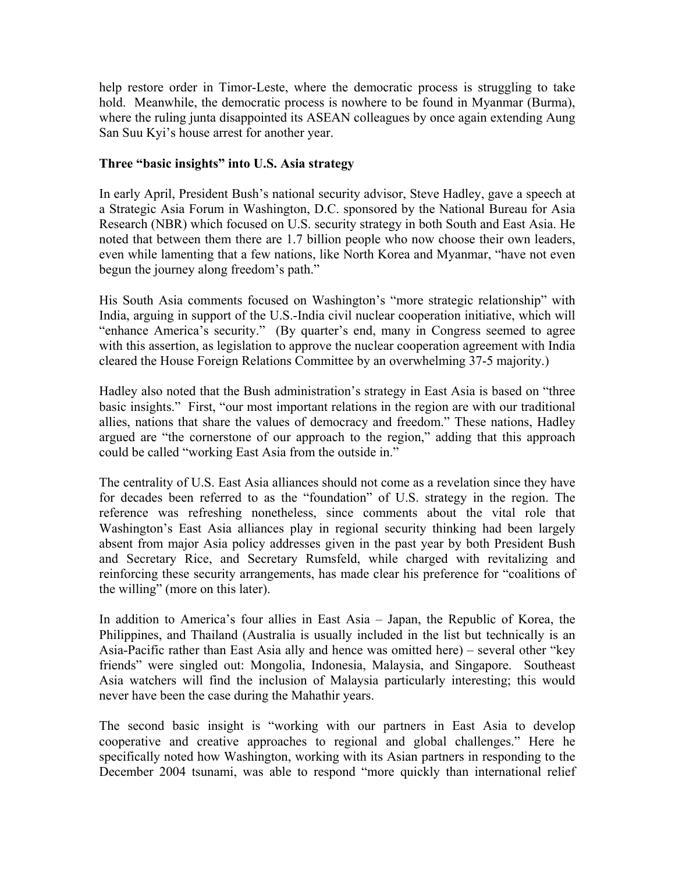help restore order in Timor-Leste, where the democratic process is struggling to take hold. Meanwhile, the democratic process is nowhere to be found in Myanmar (Burma), where the ruling junta disappointed its ASEAN colleagues by once again extending Aung San Suu Kyi's house arrest for another year.

### **Three "basic insights" into U.S. Asia strategy**

In early April, President Bush's national security advisor, Steve Hadley, gave a speech at a Strategic Asia Forum in Washington, D.C. sponsored by the National Bureau for Asia Research (NBR) which focused on U.S. security strategy in both South and East Asia. He noted that between them there are 1.7 billion people who now choose their own leaders, even while lamenting that a few nations, like North Korea and Myanmar, "have not even begun the journey along freedom's path."

His South Asia comments focused on Washington's "more strategic relationship" with India, arguing in support of the U.S.-India civil nuclear cooperation initiative, which will "enhance America's security." (By quarter's end, many in Congress seemed to agree with this assertion, as legislation to approve the nuclear cooperation agreement with India cleared the House Foreign Relations Committee by an overwhelming 37-5 majority.)

Hadley also noted that the Bush administration's strategy in East Asia is based on "three basic insights." First, "our most important relations in the region are with our traditional allies, nations that share the values of democracy and freedom." These nations, Hadley argued are "the cornerstone of our approach to the region," adding that this approach could be called "working East Asia from the outside in."

The centrality of U.S. East Asia alliances should not come as a revelation since they have for decades been referred to as the "foundation" of U.S. strategy in the region. The reference was refreshing nonetheless, since comments about the vital role that Washington's East Asia alliances play in regional security thinking had been largely absent from major Asia policy addresses given in the past year by both President Bush and Secretary Rice, and Secretary Rumsfeld, while charged with revitalizing and reinforcing these security arrangements, has made clear his preference for "coalitions of the willing" (more on this later).

In addition to America's four allies in East Asia – Japan, the Republic of Korea, the Philippines, and Thailand (Australia is usually included in the list but technically is an Asia-Pacific rather than East Asia ally and hence was omitted here) – several other "key friends" were singled out: Mongolia, Indonesia, Malaysia, and Singapore. Southeast Asia watchers will find the inclusion of Malaysia particularly interesting; this would never have been the case during the Mahathir years.

The second basic insight is "working with our partners in East Asia to develop cooperative and creative approaches to regional and global challenges." Here he specifically noted how Washington, working with its Asian partners in responding to the December 2004 tsunami, was able to respond "more quickly than international relief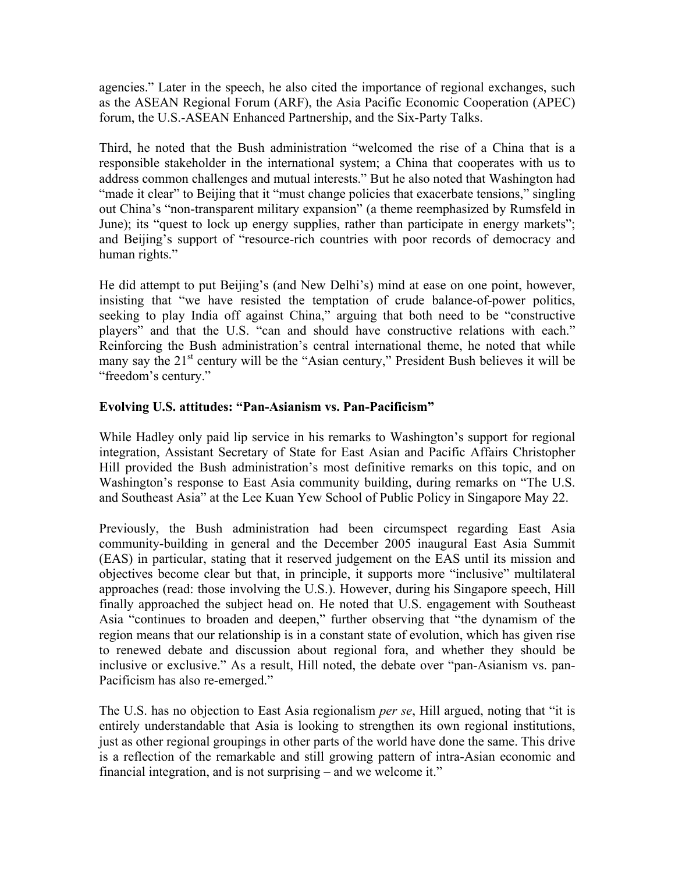agencies." Later in the speech, he also cited the importance of regional exchanges, such as the ASEAN Regional Forum (ARF), the Asia Pacific Economic Cooperation (APEC) forum, the U.S.-ASEAN Enhanced Partnership, and the Six-Party Talks.

Third, he noted that the Bush administration "welcomed the rise of a China that is a responsible stakeholder in the international system; a China that cooperates with us to address common challenges and mutual interests." But he also noted that Washington had "made it clear" to Beijing that it "must change policies that exacerbate tensions," singling out China's "non-transparent military expansion" (a theme reemphasized by Rumsfeld in June); its "quest to lock up energy supplies, rather than participate in energy markets"; and Beijing's support of "resource-rich countries with poor records of democracy and human rights."

He did attempt to put Beijing's (and New Delhi's) mind at ease on one point, however, insisting that "we have resisted the temptation of crude balance-of-power politics, seeking to play India off against China," arguing that both need to be "constructive players" and that the U.S. "can and should have constructive relations with each." Reinforcing the Bush administration's central international theme, he noted that while many say the 21<sup>st</sup> century will be the "Asian century," President Bush believes it will be "freedom's century."

# **Evolving U.S. attitudes: "Pan-Asianism vs. Pan-Pacificism"**

While Hadley only paid lip service in his remarks to Washington's support for regional integration, Assistant Secretary of State for East Asian and Pacific Affairs Christopher Hill provided the Bush administration's most definitive remarks on this topic, and on Washington's response to East Asia community building, during remarks on "The U.S. and Southeast Asia" at the Lee Kuan Yew School of Public Policy in Singapore May 22.

Previously, the Bush administration had been circumspect regarding East Asia community-building in general and the December 2005 inaugural East Asia Summit (EAS) in particular, stating that it reserved judgement on the EAS until its mission and objectives become clear but that, in principle, it supports more "inclusive" multilateral approaches (read: those involving the U.S.). However, during his Singapore speech, Hill finally approached the subject head on. He noted that U.S. engagement with Southeast Asia "continues to broaden and deepen," further observing that "the dynamism of the region means that our relationship is in a constant state of evolution, which has given rise to renewed debate and discussion about regional fora, and whether they should be inclusive or exclusive." As a result, Hill noted, the debate over "pan-Asianism vs. pan-Pacificism has also re-emerged."

The U.S. has no objection to East Asia regionalism *per se*, Hill argued, noting that "it is entirely understandable that Asia is looking to strengthen its own regional institutions, just as other regional groupings in other parts of the world have done the same. This drive is a reflection of the remarkable and still growing pattern of intra-Asian economic and financial integration, and is not surprising – and we welcome it."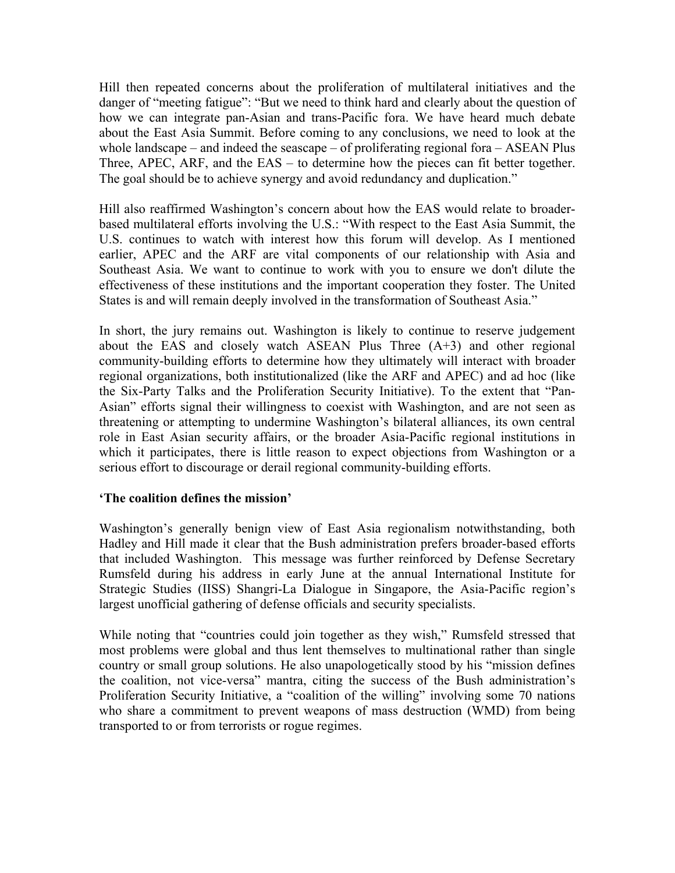Hill then repeated concerns about the proliferation of multilateral initiatives and the danger of "meeting fatigue": "But we need to think hard and clearly about the question of how we can integrate pan-Asian and trans-Pacific fora. We have heard much debate about the East Asia Summit. Before coming to any conclusions, we need to look at the whole landscape – and indeed the seascape – of proliferating regional fora – ASEAN Plus Three, APEC, ARF, and the EAS – to determine how the pieces can fit better together. The goal should be to achieve synergy and avoid redundancy and duplication."

Hill also reaffirmed Washington's concern about how the EAS would relate to broaderbased multilateral efforts involving the U.S.: "With respect to the East Asia Summit, the U.S. continues to watch with interest how this forum will develop. As I mentioned earlier, APEC and the ARF are vital components of our relationship with Asia and Southeast Asia. We want to continue to work with you to ensure we don't dilute the effectiveness of these institutions and the important cooperation they foster. The United States is and will remain deeply involved in the transformation of Southeast Asia."

In short, the jury remains out. Washington is likely to continue to reserve judgement about the EAS and closely watch ASEAN Plus Three  $(A+3)$  and other regional community-building efforts to determine how they ultimately will interact with broader regional organizations, both institutionalized (like the ARF and APEC) and ad hoc (like the Six-Party Talks and the Proliferation Security Initiative). To the extent that "Pan-Asian" efforts signal their willingness to coexist with Washington, and are not seen as threatening or attempting to undermine Washington's bilateral alliances, its own central role in East Asian security affairs, or the broader Asia-Pacific regional institutions in which it participates, there is little reason to expect objections from Washington or a serious effort to discourage or derail regional community-building efforts.

#### **'The coalition defines the mission'**

Washington's generally benign view of East Asia regionalism notwithstanding, both Hadley and Hill made it clear that the Bush administration prefers broader-based efforts that included Washington. This message was further reinforced by Defense Secretary Rumsfeld during his address in early June at the annual International Institute for Strategic Studies (IISS) Shangri-La Dialogue in Singapore, the Asia-Pacific region's largest unofficial gathering of defense officials and security specialists.

While noting that "countries could join together as they wish," Rumsfeld stressed that most problems were global and thus lent themselves to multinational rather than single country or small group solutions. He also unapologetically stood by his "mission defines the coalition, not vice-versa" mantra, citing the success of the Bush administration's Proliferation Security Initiative, a "coalition of the willing" involving some 70 nations who share a commitment to prevent weapons of mass destruction (WMD) from being transported to or from terrorists or rogue regimes.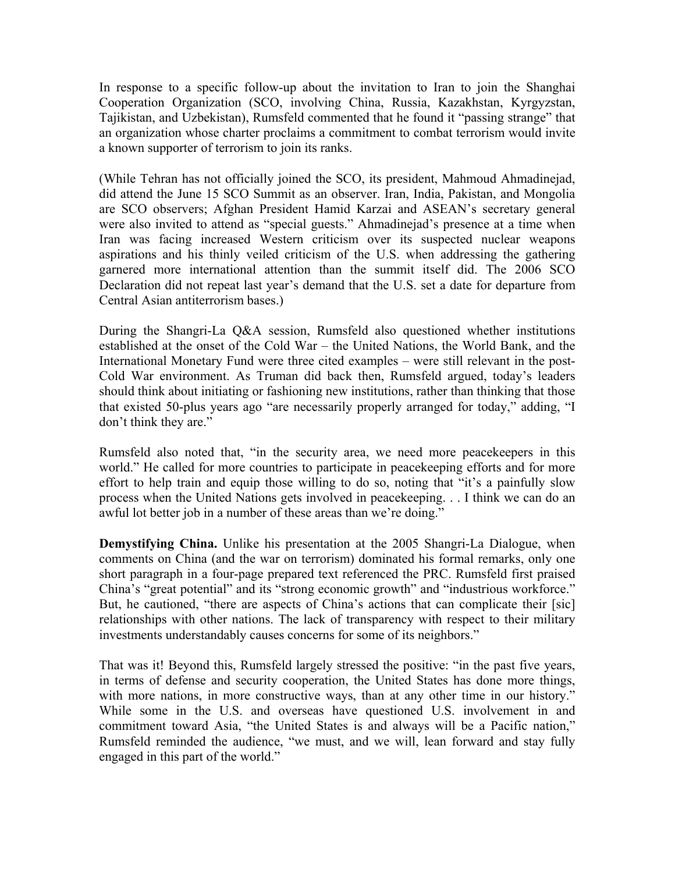In response to a specific follow-up about the invitation to Iran to join the Shanghai Cooperation Organization (SCO, involving China, Russia, Kazakhstan, Kyrgyzstan, Tajikistan, and Uzbekistan), Rumsfeld commented that he found it "passing strange" that an organization whose charter proclaims a commitment to combat terrorism would invite a known supporter of terrorism to join its ranks.

(While Tehran has not officially joined the SCO, its president, Mahmoud Ahmadinejad, did attend the June 15 SCO Summit as an observer. Iran, India, Pakistan, and Mongolia are SCO observers; Afghan President Hamid Karzai and ASEAN's secretary general were also invited to attend as "special guests." Ahmadinejad's presence at a time when Iran was facing increased Western criticism over its suspected nuclear weapons aspirations and his thinly veiled criticism of the U.S. when addressing the gathering garnered more international attention than the summit itself did. The 2006 SCO Declaration did not repeat last year's demand that the U.S. set a date for departure from Central Asian antiterrorism bases.)

During the Shangri-La Q&A session, Rumsfeld also questioned whether institutions established at the onset of the Cold War – the United Nations, the World Bank, and the International Monetary Fund were three cited examples – were still relevant in the post-Cold War environment. As Truman did back then, Rumsfeld argued, today's leaders should think about initiating or fashioning new institutions, rather than thinking that those that existed 50-plus years ago "are necessarily properly arranged for today," adding, "I don't think they are."

Rumsfeld also noted that, "in the security area, we need more peacekeepers in this world." He called for more countries to participate in peacekeeping efforts and for more effort to help train and equip those willing to do so, noting that "it's a painfully slow process when the United Nations gets involved in peacekeeping. . . I think we can do an awful lot better job in a number of these areas than we're doing."

**Demystifying China.** Unlike his presentation at the 2005 Shangri-La Dialogue, when comments on China (and the war on terrorism) dominated his formal remarks, only one short paragraph in a four-page prepared text referenced the PRC. Rumsfeld first praised China's "great potential" and its "strong economic growth" and "industrious workforce." But, he cautioned, "there are aspects of China's actions that can complicate their [sic] relationships with other nations. The lack of transparency with respect to their military investments understandably causes concerns for some of its neighbors."

That was it! Beyond this, Rumsfeld largely stressed the positive: "in the past five years, in terms of defense and security cooperation, the United States has done more things, with more nations, in more constructive ways, than at any other time in our history." While some in the U.S. and overseas have questioned U.S. involvement in and commitment toward Asia, "the United States is and always will be a Pacific nation," Rumsfeld reminded the audience, "we must, and we will, lean forward and stay fully engaged in this part of the world."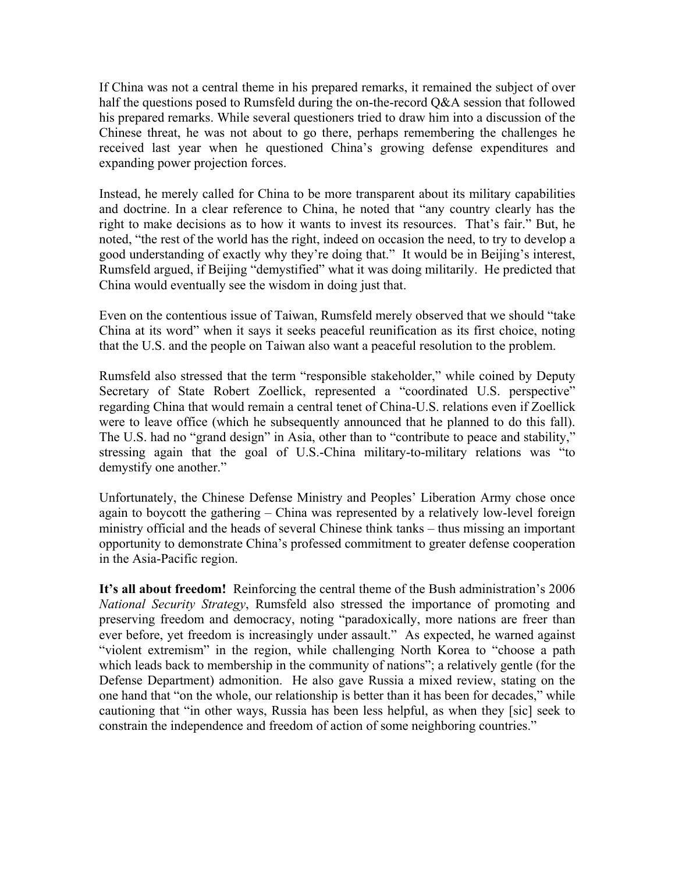If China was not a central theme in his prepared remarks, it remained the subject of over half the questions posed to Rumsfeld during the on-the-record Q&A session that followed his prepared remarks. While several questioners tried to draw him into a discussion of the Chinese threat, he was not about to go there, perhaps remembering the challenges he received last year when he questioned China's growing defense expenditures and expanding power projection forces.

Instead, he merely called for China to be more transparent about its military capabilities and doctrine. In a clear reference to China, he noted that "any country clearly has the right to make decisions as to how it wants to invest its resources. That's fair." But, he noted, "the rest of the world has the right, indeed on occasion the need, to try to develop a good understanding of exactly why they're doing that." It would be in Beijing's interest, Rumsfeld argued, if Beijing "demystified" what it was doing militarily. He predicted that China would eventually see the wisdom in doing just that.

Even on the contentious issue of Taiwan, Rumsfeld merely observed that we should "take China at its word" when it says it seeks peaceful reunification as its first choice, noting that the U.S. and the people on Taiwan also want a peaceful resolution to the problem.

Rumsfeld also stressed that the term "responsible stakeholder," while coined by Deputy Secretary of State Robert Zoellick, represented a "coordinated U.S. perspective" regarding China that would remain a central tenet of China-U.S. relations even if Zoellick were to leave office (which he subsequently announced that he planned to do this fall). The U.S. had no "grand design" in Asia, other than to "contribute to peace and stability," stressing again that the goal of U.S.-China military-to-military relations was "to demystify one another."

Unfortunately, the Chinese Defense Ministry and Peoples' Liberation Army chose once again to boycott the gathering – China was represented by a relatively low-level foreign ministry official and the heads of several Chinese think tanks – thus missing an important opportunity to demonstrate China's professed commitment to greater defense cooperation in the Asia-Pacific region.

**It's all about freedom!** Reinforcing the central theme of the Bush administration's 2006 *National Security Strategy*, Rumsfeld also stressed the importance of promoting and preserving freedom and democracy, noting "paradoxically, more nations are freer than ever before, yet freedom is increasingly under assault." As expected, he warned against "violent extremism" in the region, while challenging North Korea to "choose a path which leads back to membership in the community of nations"; a relatively gentle (for the Defense Department) admonition. He also gave Russia a mixed review, stating on the one hand that "on the whole, our relationship is better than it has been for decades," while cautioning that "in other ways, Russia has been less helpful, as when they [sic] seek to constrain the independence and freedom of action of some neighboring countries."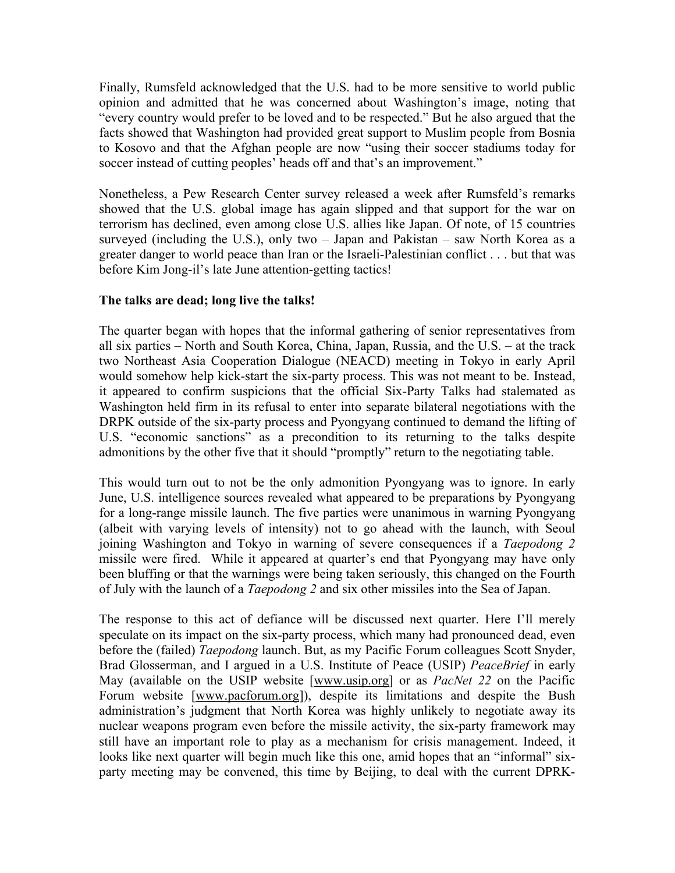Finally, Rumsfeld acknowledged that the U.S. had to be more sensitive to world public opinion and admitted that he was concerned about Washington's image, noting that "every country would prefer to be loved and to be respected." But he also argued that the facts showed that Washington had provided great support to Muslim people from Bosnia to Kosovo and that the Afghan people are now "using their soccer stadiums today for soccer instead of cutting peoples' heads off and that's an improvement."

Nonetheless, a Pew Research Center survey released a week after Rumsfeld's remarks showed that the U.S. global image has again slipped and that support for the war on terrorism has declined, even among close U.S. allies like Japan. Of note, of 15 countries surveyed (including the U.S.), only two – Japan and Pakistan – saw North Korea as a greater danger to world peace than Iran or the Israeli-Palestinian conflict . . . but that was before Kim Jong-il's late June attention-getting tactics!

# **The talks are dead; long live the talks!**

The quarter began with hopes that the informal gathering of senior representatives from all six parties – North and South Korea, China, Japan, Russia, and the U.S. – at the track two Northeast Asia Cooperation Dialogue (NEACD) meeting in Tokyo in early April would somehow help kick-start the six-party process. This was not meant to be. Instead, it appeared to confirm suspicions that the official Six-Party Talks had stalemated as Washington held firm in its refusal to enter into separate bilateral negotiations with the DRPK outside of the six-party process and Pyongyang continued to demand the lifting of U.S. "economic sanctions" as a precondition to its returning to the talks despite admonitions by the other five that it should "promptly" return to the negotiating table.

This would turn out to not be the only admonition Pyongyang was to ignore. In early June, U.S. intelligence sources revealed what appeared to be preparations by Pyongyang for a long-range missile launch. The five parties were unanimous in warning Pyongyang (albeit with varying levels of intensity) not to go ahead with the launch, with Seoul joining Washington and Tokyo in warning of severe consequences if a *Taepodong 2* missile were fired. While it appeared at quarter's end that Pyongyang may have only been bluffing or that the warnings were being taken seriously, this changed on the Fourth of July with the launch of a *Taepodong 2* and six other missiles into the Sea of Japan.

The response to this act of defiance will be discussed next quarter. Here I'll merely speculate on its impact on the six-party process, which many had pronounced dead, even before the (failed) *Taepodong* launch. But, as my Pacific Forum colleagues Scott Snyder, Brad Glosserman, and I argued in a U.S. Institute of Peace (USIP) *PeaceBrief* in early May (available on the USIP website [www.usip.org] or as *PacNet 22* on the Pacific Forum website [www.pacforum.org]), despite its limitations and despite the Bush administration's judgment that North Korea was highly unlikely to negotiate away its nuclear weapons program even before the missile activity, the six-party framework may still have an important role to play as a mechanism for crisis management. Indeed, it looks like next quarter will begin much like this one, amid hopes that an "informal" sixparty meeting may be convened, this time by Beijing, to deal with the current DPRK-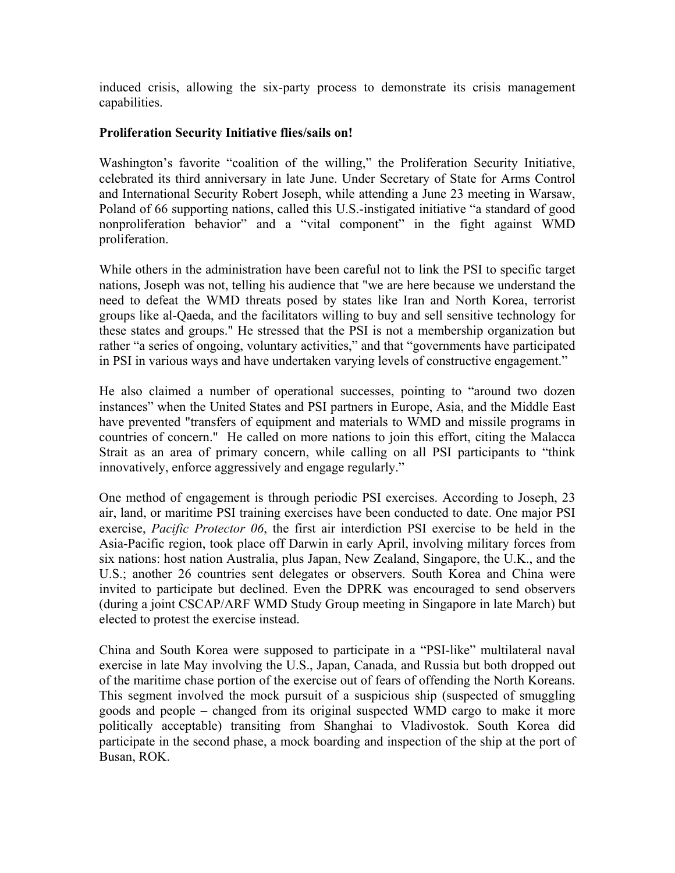induced crisis, allowing the six-party process to demonstrate its crisis management capabilities.

#### **Proliferation Security Initiative flies/sails on!**

Washington's favorite "coalition of the willing," the Proliferation Security Initiative, celebrated its third anniversary in late June. Under Secretary of State for Arms Control and International Security Robert Joseph, while attending a June 23 meeting in Warsaw, Poland of 66 supporting nations, called this U.S.-instigated initiative "a standard of good nonproliferation behavior" and a "vital component" in the fight against WMD proliferation.

While others in the administration have been careful not to link the PSI to specific target nations, Joseph was not, telling his audience that "we are here because we understand the need to defeat the WMD threats posed by states like Iran and North Korea, terrorist groups like al-Qaeda, and the facilitators willing to buy and sell sensitive technology for these states and groups." He stressed that the PSI is not a membership organization but rather "a series of ongoing, voluntary activities," and that "governments have participated in PSI in various ways and have undertaken varying levels of constructive engagement."

He also claimed a number of operational successes, pointing to "around two dozen instances" when the United States and PSI partners in Europe, Asia, and the Middle East have prevented "transfers of equipment and materials to WMD and missile programs in countries of concern." He called on more nations to join this effort, citing the Malacca Strait as an area of primary concern, while calling on all PSI participants to "think innovatively, enforce aggressively and engage regularly."

One method of engagement is through periodic PSI exercises. According to Joseph, 23 air, land, or maritime PSI training exercises have been conducted to date. One major PSI exercise, *Pacific Protector 06*, the first air interdiction PSI exercise to be held in the Asia-Pacific region, took place off Darwin in early April, involving military forces from six nations: host nation Australia, plus Japan, New Zealand, Singapore, the U.K., and the U.S.; another 26 countries sent delegates or observers. South Korea and China were invited to participate but declined. Even the DPRK was encouraged to send observers (during a joint CSCAP/ARF WMD Study Group meeting in Singapore in late March) but elected to protest the exercise instead.

China and South Korea were supposed to participate in a "PSI-like" multilateral naval exercise in late May involving the U.S., Japan, Canada, and Russia but both dropped out of the maritime chase portion of the exercise out of fears of offending the North Koreans. This segment involved the mock pursuit of a suspicious ship (suspected of smuggling goods and people – changed from its original suspected WMD cargo to make it more politically acceptable) transiting from Shanghai to Vladivostok. South Korea did participate in the second phase, a mock boarding and inspection of the ship at the port of Busan, ROK.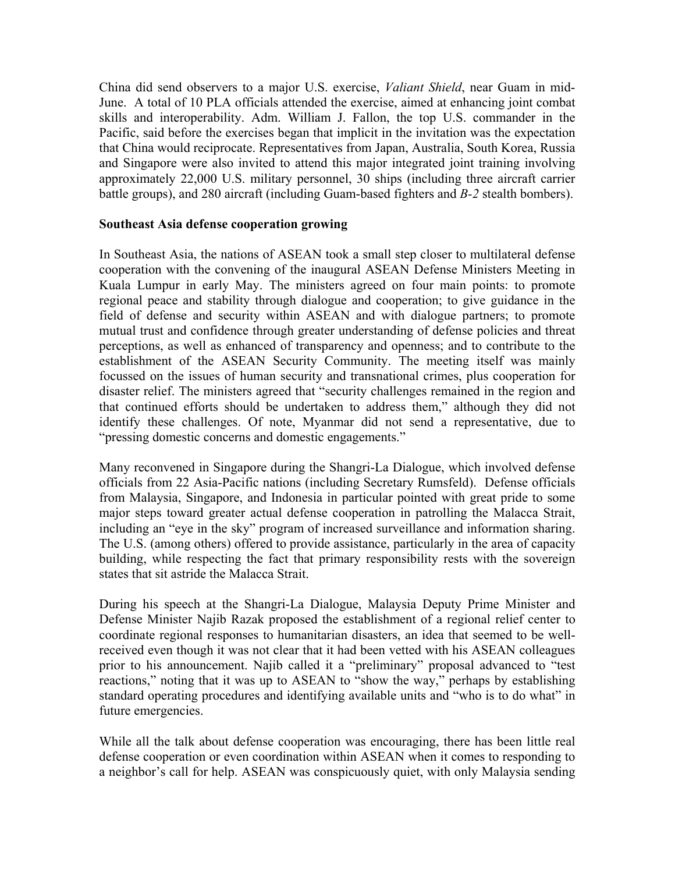China did send observers to a major U.S. exercise, *Valiant Shield*, near Guam in mid-June. A total of 10 PLA officials attended the exercise, aimed at enhancing joint combat skills and interoperability. Adm. William J. Fallon, the top U.S. commander in the Pacific, said before the exercises began that implicit in the invitation was the expectation that China would reciprocate. Representatives from Japan, Australia, South Korea, Russia and Singapore were also invited to attend this major integrated joint training involving approximately 22,000 U.S. military personnel, 30 ships (including three aircraft carrier battle groups), and 280 aircraft (including Guam-based fighters and *B-2* stealth bombers).

#### **Southeast Asia defense cooperation growing**

In Southeast Asia, the nations of ASEAN took a small step closer to multilateral defense cooperation with the convening of the inaugural ASEAN Defense Ministers Meeting in Kuala Lumpur in early May. The ministers agreed on four main points: to promote regional peace and stability through dialogue and cooperation; to give guidance in the field of defense and security within ASEAN and with dialogue partners; to promote mutual trust and confidence through greater understanding of defense policies and threat perceptions, as well as enhanced of transparency and openness; and to contribute to the establishment of the ASEAN Security Community. The meeting itself was mainly focussed on the issues of human security and transnational crimes, plus cooperation for disaster relief. The ministers agreed that "security challenges remained in the region and that continued efforts should be undertaken to address them," although they did not identify these challenges. Of note, Myanmar did not send a representative, due to "pressing domestic concerns and domestic engagements."

Many reconvened in Singapore during the Shangri-La Dialogue, which involved defense officials from 22 Asia-Pacific nations (including Secretary Rumsfeld). Defense officials from Malaysia, Singapore, and Indonesia in particular pointed with great pride to some major steps toward greater actual defense cooperation in patrolling the Malacca Strait, including an "eye in the sky" program of increased surveillance and information sharing. The U.S. (among others) offered to provide assistance, particularly in the area of capacity building, while respecting the fact that primary responsibility rests with the sovereign states that sit astride the Malacca Strait.

During his speech at the Shangri-La Dialogue, Malaysia Deputy Prime Minister and Defense Minister Najib Razak proposed the establishment of a regional relief center to coordinate regional responses to humanitarian disasters, an idea that seemed to be wellreceived even though it was not clear that it had been vetted with his ASEAN colleagues prior to his announcement. Najib called it a "preliminary" proposal advanced to "test reactions," noting that it was up to ASEAN to "show the way," perhaps by establishing standard operating procedures and identifying available units and "who is to do what" in future emergencies.

While all the talk about defense cooperation was encouraging, there has been little real defense cooperation or even coordination within ASEAN when it comes to responding to a neighbor's call for help. ASEAN was conspicuously quiet, with only Malaysia sending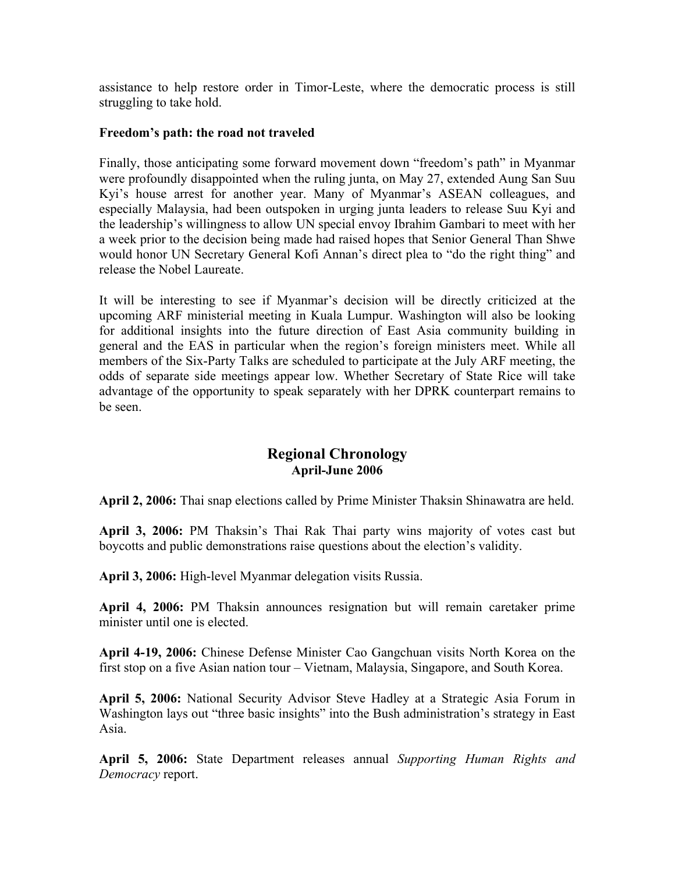assistance to help restore order in Timor-Leste, where the democratic process is still struggling to take hold.

#### **Freedom's path: the road not traveled**

Finally, those anticipating some forward movement down "freedom's path" in Myanmar were profoundly disappointed when the ruling junta, on May 27, extended Aung San Suu Kyi's house arrest for another year. Many of Myanmar's ASEAN colleagues, and especially Malaysia, had been outspoken in urging junta leaders to release Suu Kyi and the leadership's willingness to allow UN special envoy Ibrahim Gambari to meet with her a week prior to the decision being made had raised hopes that Senior General Than Shwe would honor UN Secretary General Kofi Annan's direct plea to "do the right thing" and release the Nobel Laureate.

It will be interesting to see if Myanmar's decision will be directly criticized at the upcoming ARF ministerial meeting in Kuala Lumpur. Washington will also be looking for additional insights into the future direction of East Asia community building in general and the EAS in particular when the region's foreign ministers meet. While all members of the Six-Party Talks are scheduled to participate at the July ARF meeting, the odds of separate side meetings appear low. Whether Secretary of State Rice will take advantage of the opportunity to speak separately with her DPRK counterpart remains to be seen.

# **Regional Chronology April-June 2006**

**April 2, 2006:** Thai snap elections called by Prime Minister Thaksin Shinawatra are held.

**April 3, 2006:** PM Thaksin's Thai Rak Thai party wins majority of votes cast but boycotts and public demonstrations raise questions about the election's validity.

**April 3, 2006:** High-level Myanmar delegation visits Russia.

**April 4, 2006:** PM Thaksin announces resignation but will remain caretaker prime minister until one is elected.

**April 4-19, 2006:** Chinese Defense Minister Cao Gangchuan visits North Korea on the first stop on a five Asian nation tour – Vietnam, Malaysia, Singapore, and South Korea.

**April 5, 2006:** National Security Advisor Steve Hadley at a Strategic Asia Forum in Washington lays out "three basic insights" into the Bush administration's strategy in East Asia.

**April 5, 2006:** State Department releases annual *Supporting Human Rights and Democracy* report.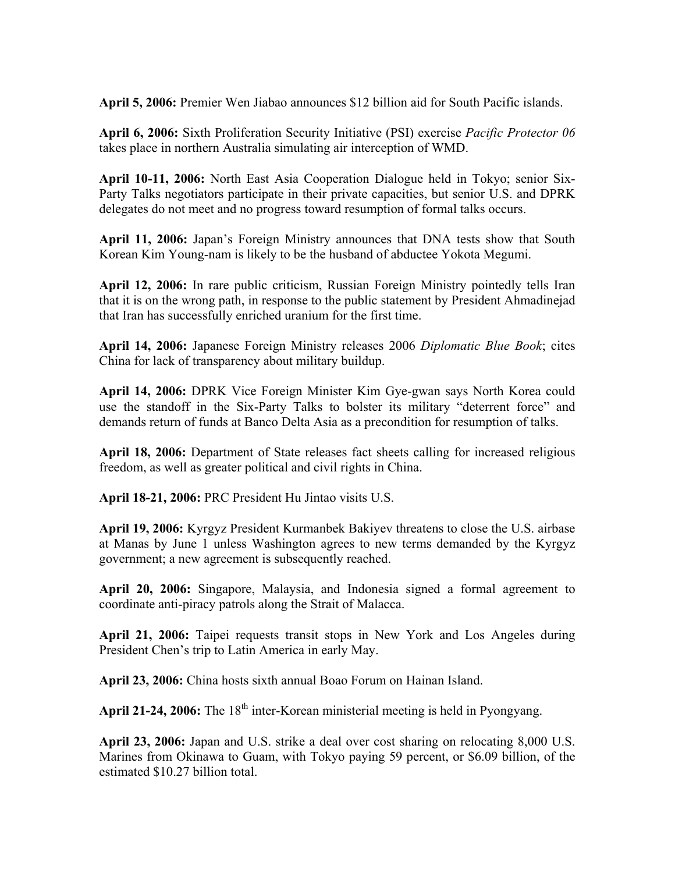**April 5, 2006:** Premier Wen Jiabao announces \$12 billion aid for South Pacific islands.

**April 6, 2006:** Sixth Proliferation Security Initiative (PSI) exercise *Pacific Protector 06*  takes place in northern Australia simulating air interception of WMD.

**April 10-11, 2006:** North East Asia Cooperation Dialogue held in Tokyo; senior Six-Party Talks negotiators participate in their private capacities, but senior U.S. and DPRK delegates do not meet and no progress toward resumption of formal talks occurs.

**April 11, 2006:** Japan's Foreign Ministry announces that DNA tests show that South Korean Kim Young-nam is likely to be the husband of abductee Yokota Megumi.

**April 12, 2006:** In rare public criticism, Russian Foreign Ministry pointedly tells Iran that it is on the wrong path, in response to the public statement by President Ahmadinejad that Iran has successfully enriched uranium for the first time.

**April 14, 2006:** Japanese Foreign Ministry releases 2006 *Diplomatic Blue Book*; cites China for lack of transparency about military buildup.

**April 14, 2006:** DPRK Vice Foreign Minister Kim Gye-gwan says North Korea could use the standoff in the Six-Party Talks to bolster its military "deterrent force" and demands return of funds at Banco Delta Asia as a precondition for resumption of talks.

**April 18, 2006:** Department of State releases fact sheets calling for increased religious freedom, as well as greater political and civil rights in China.

**April 18-21, 2006:** PRC President Hu Jintao visits U.S.

**April 19, 2006:** Kyrgyz President Kurmanbek Bakiyev threatens to close the U.S. airbase at Manas by June 1 unless Washington agrees to new terms demanded by the Kyrgyz government; a new agreement is subsequently reached.

**April 20, 2006:** Singapore, Malaysia, and Indonesia signed a formal agreement to coordinate anti-piracy patrols along the Strait of Malacca.

**April 21, 2006:** Taipei requests transit stops in New York and Los Angeles during President Chen's trip to Latin America in early May.

**April 23, 2006:** China hosts sixth annual Boao Forum on Hainan Island.

April 21-24, 2006: The 18<sup>th</sup> inter-Korean ministerial meeting is held in Pyongyang.

**April 23, 2006:** Japan and U.S. strike a deal over cost sharing on relocating 8,000 U.S. Marines from Okinawa to Guam, with Tokyo paying 59 percent, or \$6.09 billion, of the estimated \$10.27 billion total.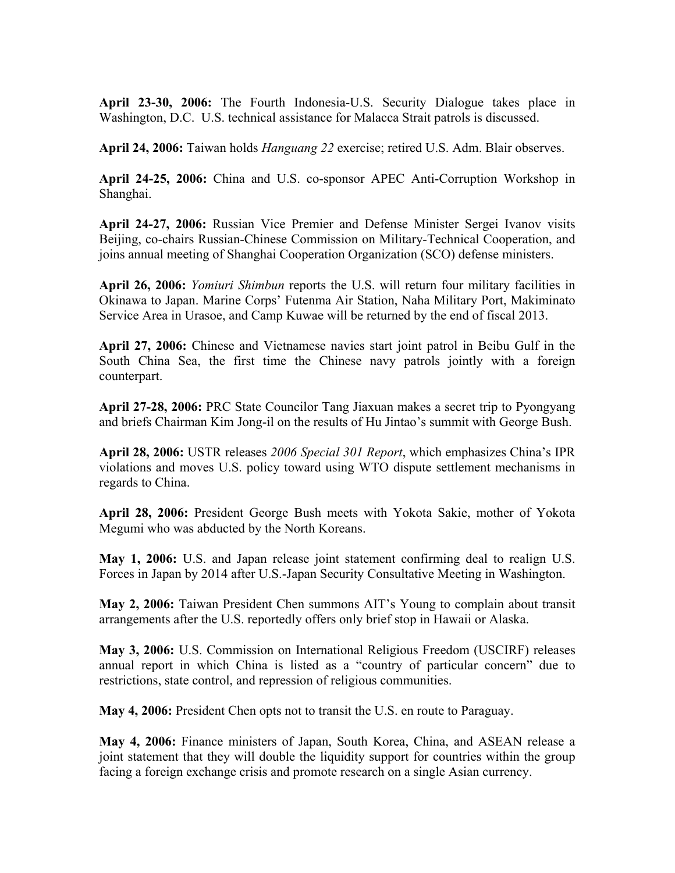**April 23-30, 2006:** The Fourth Indonesia-U.S. Security Dialogue takes place in Washington, D.C. U.S. technical assistance for Malacca Strait patrols is discussed.

**April 24, 2006:** Taiwan holds *Hanguang 22* exercise; retired U.S. Adm. Blair observes.

**April 24-25, 2006:** China and U.S. co-sponsor APEC Anti-Corruption Workshop in Shanghai.

**April 24-27, 2006:** Russian Vice Premier and Defense Minister Sergei Ivanov visits Beijing, co-chairs Russian-Chinese Commission on Military-Technical Cooperation, and joins annual meeting of Shanghai Cooperation Organization (SCO) defense ministers.

**April 26, 2006:** *Yomiuri Shimbun* reports the U.S. will return four military facilities in Okinawa to Japan. Marine Corps' Futenma Air Station, Naha Military Port, Makiminato Service Area in Urasoe, and Camp Kuwae will be returned by the end of fiscal 2013.

**April 27, 2006:** Chinese and Vietnamese navies start joint patrol in Beibu Gulf in the South China Sea, the first time the Chinese navy patrols jointly with a foreign counterpart.

**April 27-28, 2006:** PRC State Councilor Tang Jiaxuan makes a secret trip to Pyongyang and briefs Chairman Kim Jong-il on the results of Hu Jintao's summit with George Bush.

**April 28, 2006:** USTR releases *2006 Special 301 Report*, which emphasizes China's IPR violations and moves U.S. policy toward using WTO dispute settlement mechanisms in regards to China.

**April 28, 2006:** President George Bush meets with Yokota Sakie, mother of Yokota Megumi who was abducted by the North Koreans.

**May 1, 2006:** U.S. and Japan release joint statement confirming deal to realign U.S. Forces in Japan by 2014 after U.S.-Japan Security Consultative Meeting in Washington.

**May 2, 2006:** Taiwan President Chen summons AIT's Young to complain about transit arrangements after the U.S. reportedly offers only brief stop in Hawaii or Alaska.

**May 3, 2006:** U.S. Commission on International Religious Freedom (USCIRF) releases annual report in which China is listed as a "country of particular concern" due to restrictions, state control, and repression of religious communities.

**May 4, 2006:** President Chen opts not to transit the U.S. en route to Paraguay.

**May 4, 2006:** Finance ministers of Japan, South Korea, China, and ASEAN release a joint statement that they will double the liquidity support for countries within the group facing a foreign exchange crisis and promote research on a single Asian currency.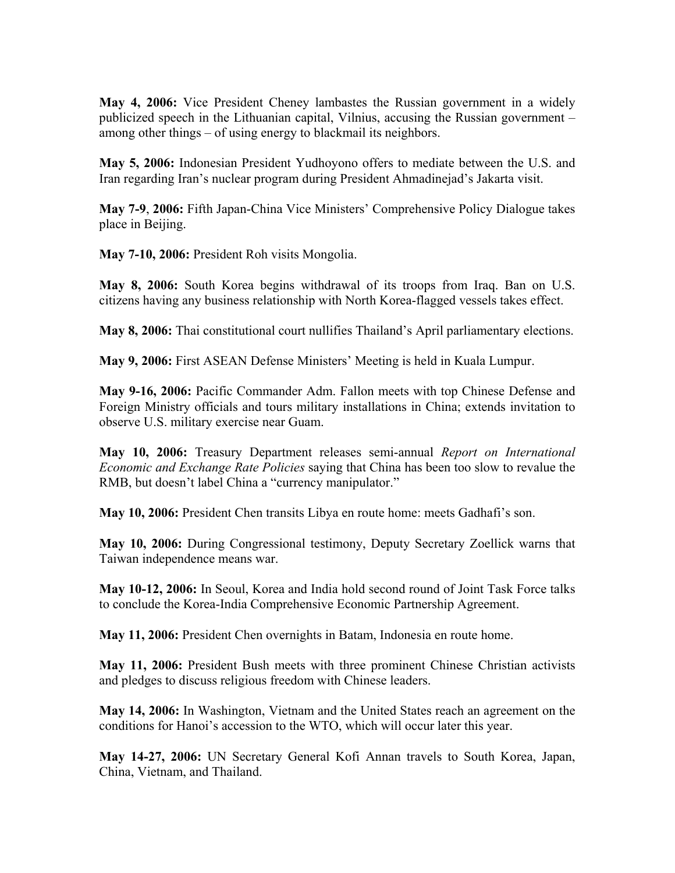**May 4, 2006:** Vice President Cheney lambastes the Russian government in a widely publicized speech in the Lithuanian capital, Vilnius, accusing the Russian government – among other things – of using energy to blackmail its neighbors.

**May 5, 2006:** Indonesian President Yudhoyono offers to mediate between the U.S. and Iran regarding Iran's nuclear program during President Ahmadinejad's Jakarta visit.

**May 7-9**, **2006:** Fifth Japan-China Vice Ministers' Comprehensive Policy Dialogue takes place in Beijing.

**May 7-10, 2006:** President Roh visits Mongolia.

**May 8, 2006:** South Korea begins withdrawal of its troops from Iraq. Ban on U.S. citizens having any business relationship with North Korea-flagged vessels takes effect.

**May 8, 2006:** Thai constitutional court nullifies Thailand's April parliamentary elections.

**May 9, 2006:** First ASEAN Defense Ministers' Meeting is held in Kuala Lumpur.

**May 9-16, 2006:** Pacific Commander Adm. Fallon meets with top Chinese Defense and Foreign Ministry officials and tours military installations in China; extends invitation to observe U.S. military exercise near Guam.

**May 10, 2006:** Treasury Department releases semi-annual *Report on International Economic and Exchange Rate Policies* saying that China has been too slow to revalue the RMB, but doesn't label China a "currency manipulator."

**May 10, 2006:** President Chen transits Libya en route home: meets Gadhafi's son.

**May 10, 2006:** During Congressional testimony, Deputy Secretary Zoellick warns that Taiwan independence means war.

**May 10-12, 2006:** In Seoul, Korea and India hold second round of Joint Task Force talks to conclude the Korea-India Comprehensive Economic Partnership Agreement.

**May 11, 2006:** President Chen overnights in Batam, Indonesia en route home.

**May 11, 2006:** President Bush meets with three prominent Chinese Christian activists and pledges to discuss religious freedom with Chinese leaders.

**May 14, 2006:** In Washington, Vietnam and the United States reach an agreement on the conditions for Hanoi's accession to the WTO, which will occur later this year.

**May 14-27, 2006:** UN Secretary General Kofi Annan travels to South Korea, Japan, China, Vietnam, and Thailand.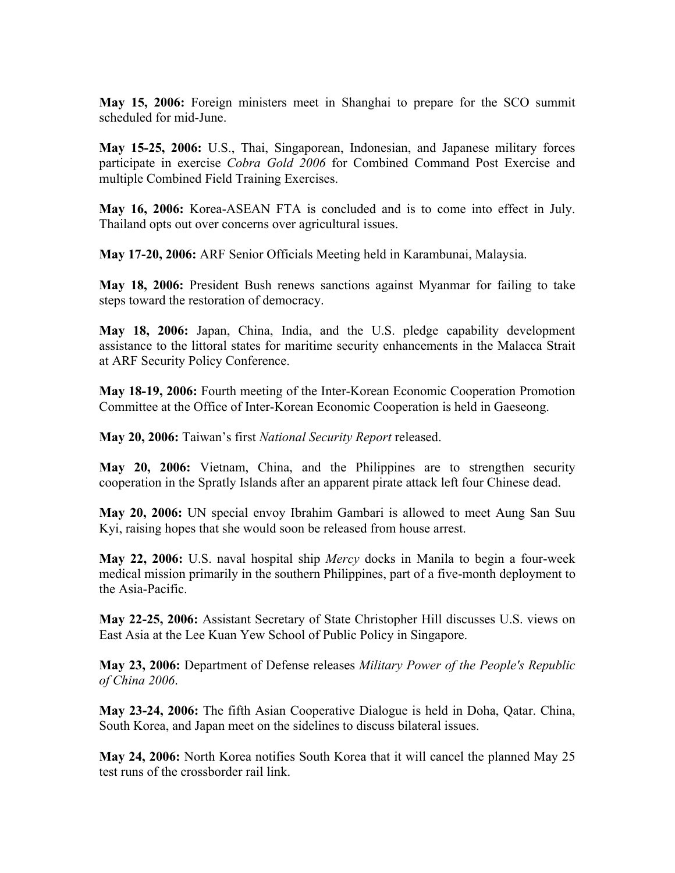**May 15, 2006:** Foreign ministers meet in Shanghai to prepare for the SCO summit scheduled for mid-June.

**May 15-25, 2006:** U.S., Thai, Singaporean, Indonesian, and Japanese military forces participate in exercise *Cobra Gold 2006* for Combined Command Post Exercise and multiple Combined Field Training Exercises.

**May 16, 2006:** Korea-ASEAN FTA is concluded and is to come into effect in July. Thailand opts out over concerns over agricultural issues.

**May 17-20, 2006:** ARF Senior Officials Meeting held in Karambunai, Malaysia.

**May 18, 2006:** President Bush renews sanctions against Myanmar for failing to take steps toward the restoration of democracy.

**May 18, 2006:** Japan, China, India, and the U.S. pledge capability development assistance to the littoral states for maritime security enhancements in the Malacca Strait at ARF Security Policy Conference.

**May 18-19, 2006:** Fourth meeting of the Inter-Korean Economic Cooperation Promotion Committee at the Office of Inter-Korean Economic Cooperation is held in Gaeseong.

**May 20, 2006:** Taiwan's first *National Security Report* released.

**May 20, 2006:** Vietnam, China, and the Philippines are to strengthen security cooperation in the Spratly Islands after an apparent pirate attack left four Chinese dead.

**May 20, 2006:** UN special envoy Ibrahim Gambari is allowed to meet Aung San Suu Kyi, raising hopes that she would soon be released from house arrest.

**May 22, 2006:** U.S. naval hospital ship *Mercy* docks in Manila to begin a four-week medical mission primarily in the southern Philippines, part of a five-month deployment to the Asia-Pacific.

**May 22-25, 2006:** Assistant Secretary of State Christopher Hill discusses U.S. views on East Asia at the Lee Kuan Yew School of Public Policy in Singapore.

**May 23, 2006:** Department of Defense releases *Military Power of the People's Republic of China 2006*.

**May 23-24, 2006:** The fifth Asian Cooperative Dialogue is held in Doha, Qatar. China, South Korea, and Japan meet on the sidelines to discuss bilateral issues.

**May 24, 2006:** North Korea notifies South Korea that it will cancel the planned May 25 test runs of the crossborder rail link.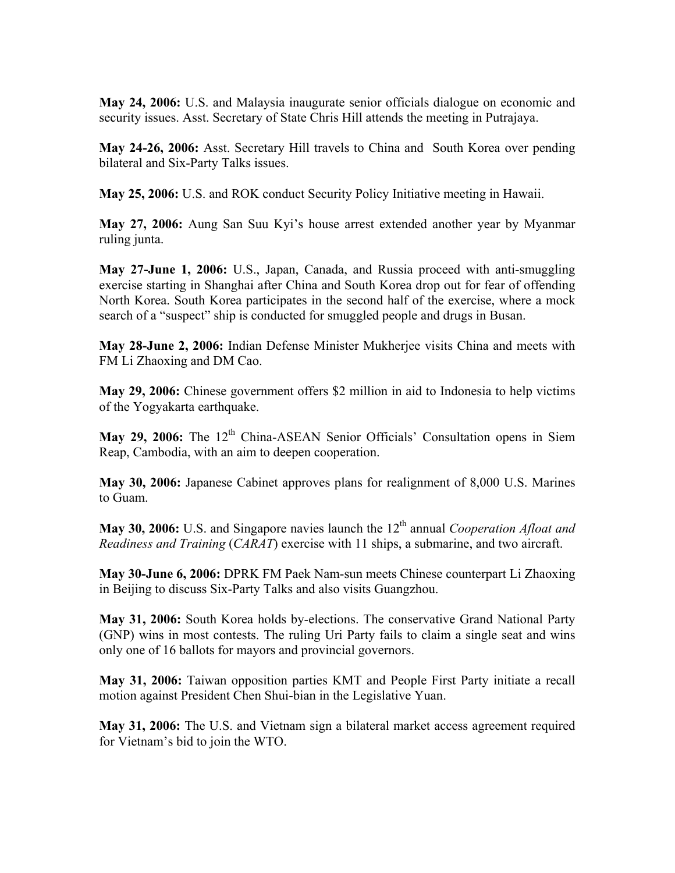**May 24, 2006:** U.S. and Malaysia inaugurate senior officials dialogue on economic and security issues. Asst. Secretary of State Chris Hill attends the meeting in Putrajaya.

**May 24-26, 2006:** Asst. Secretary Hill travels to China and South Korea over pending bilateral and Six-Party Talks issues.

**May 25, 2006:** U.S. and ROK conduct Security Policy Initiative meeting in Hawaii.

**May 27, 2006:** Aung San Suu Kyi's house arrest extended another year by Myanmar ruling junta.

**May 27-June 1, 2006:** U.S., Japan, Canada, and Russia proceed with anti-smuggling exercise starting in Shanghai after China and South Korea drop out for fear of offending North Korea. South Korea participates in the second half of the exercise, where a mock search of a "suspect" ship is conducted for smuggled people and drugs in Busan.

**May 28-June 2, 2006:** Indian Defense Minister Mukherjee visits China and meets with FM Li Zhaoxing and DM Cao.

**May 29, 2006:** Chinese government offers \$2 million in aid to Indonesia to help victims of the Yogyakarta earthquake.

May 29, 2006: The 12<sup>th</sup> China-ASEAN Senior Officials' Consultation opens in Siem Reap, Cambodia, with an aim to deepen cooperation.

**May 30, 2006:** Japanese Cabinet approves plans for realignment of 8,000 U.S. Marines to Guam.

**May 30, 2006:** U.S. and Singapore navies launch the 12<sup>th</sup> annual *Cooperation Afloat and Readiness and Training* (*CARAT*) exercise with 11 ships, a submarine, and two aircraft.

**May 30-June 6, 2006:** DPRK FM Paek Nam-sun meets Chinese counterpart Li Zhaoxing in Beijing to discuss Six-Party Talks and also visits Guangzhou.

**May 31, 2006:** South Korea holds by-elections. The conservative Grand National Party (GNP) wins in most contests. The ruling Uri Party fails to claim a single seat and wins only one of 16 ballots for mayors and provincial governors.

**May 31, 2006:** Taiwan opposition parties KMT and People First Party initiate a recall motion against President Chen Shui-bian in the Legislative Yuan.

**May 31, 2006:** The U.S. and Vietnam sign a bilateral market access agreement required for Vietnam's bid to join the WTO.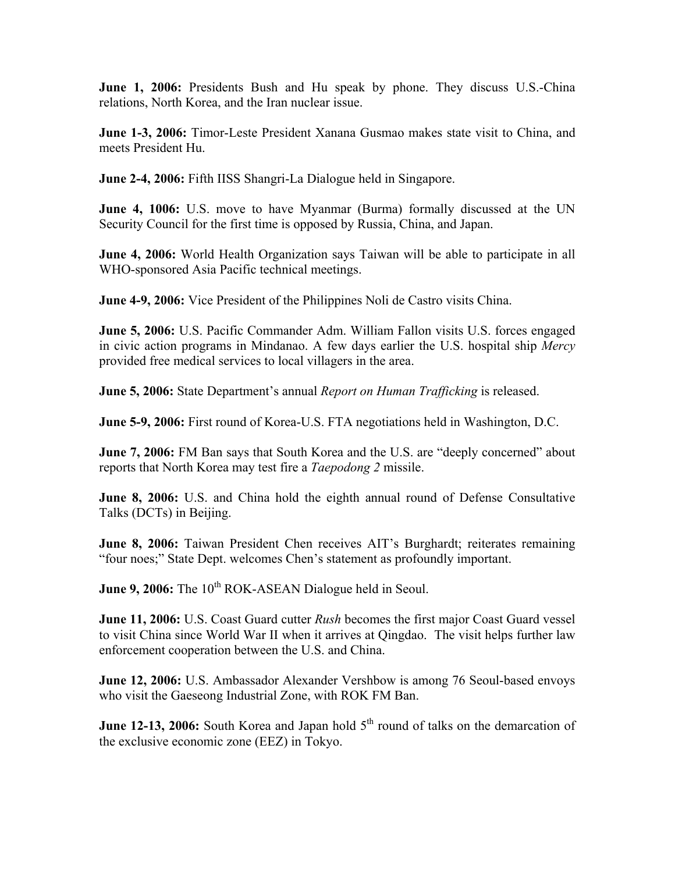**June 1, 2006:** Presidents Bush and Hu speak by phone. They discuss U.S.-China relations, North Korea, and the Iran nuclear issue.

**June 1-3, 2006:** Timor-Leste President Xanana Gusmao makes state visit to China, and meets President Hu.

**June 2-4, 2006:** Fifth IISS Shangri-La Dialogue held in Singapore.

**June 4, 1006:** U.S. move to have Myanmar (Burma) formally discussed at the UN Security Council for the first time is opposed by Russia, China, and Japan.

**June 4, 2006:** World Health Organization says Taiwan will be able to participate in all WHO-sponsored Asia Pacific technical meetings.

**June 4-9, 2006:** Vice President of the Philippines Noli de Castro visits China.

**June 5, 2006:** U.S. Pacific Commander Adm. William Fallon visits U.S. forces engaged in civic action programs in Mindanao. A few days earlier the U.S. hospital ship *Mercy* provided free medical services to local villagers in the area.

**June 5, 2006:** State Department's annual *Report on Human Trafficking* is released.

**June 5-9, 2006:** First round of Korea-U.S. FTA negotiations held in Washington, D.C.

**June 7, 2006:** FM Ban says that South Korea and the U.S. are "deeply concerned" about reports that North Korea may test fire a *Taepodong 2* missile.

**June 8, 2006:** U.S. and China hold the eighth annual round of Defense Consultative Talks (DCTs) in Beijing.

**June 8, 2006:** Taiwan President Chen receives AIT's Burghardt; reiterates remaining "four noes;" State Dept. welcomes Chen's statement as profoundly important.

**June 9, 2006:** The 10<sup>th</sup> ROK-ASEAN Dialogue held in Seoul.

**June 11, 2006:** U.S. Coast Guard cutter *Rush* becomes the first major Coast Guard vessel to visit China since World War II when it arrives at Qingdao. The visit helps further law enforcement cooperation between the U.S. and China.

**June 12, 2006:** U.S. Ambassador Alexander Vershbow is among 76 Seoul-based envoys who visit the Gaeseong Industrial Zone, with ROK FM Ban.

**June 12-13, 2006:** South Korea and Japan hold 5<sup>th</sup> round of talks on the demarcation of the exclusive economic zone (EEZ) in Tokyo.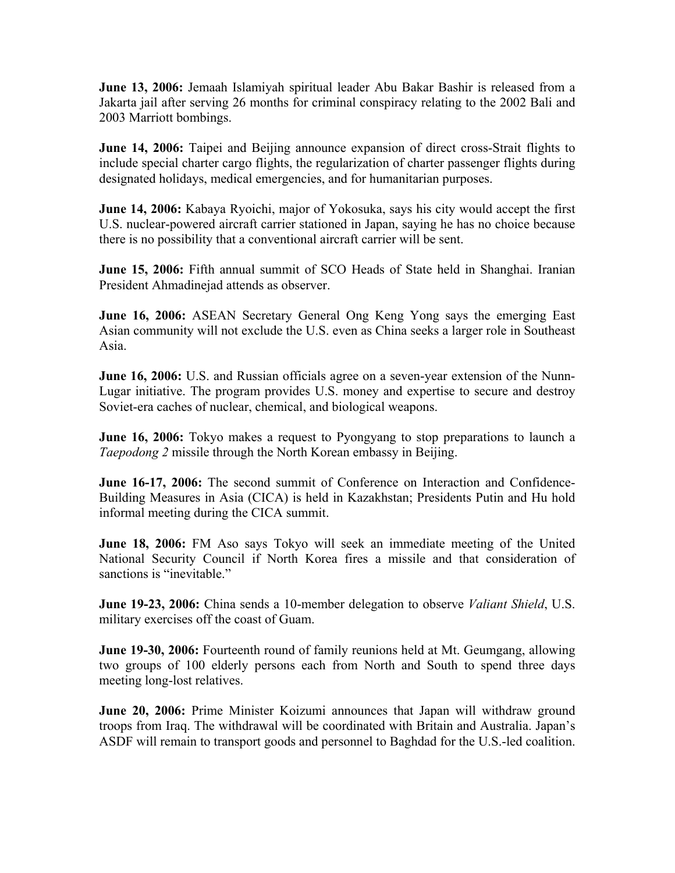**June 13, 2006:** Jemaah Islamiyah spiritual leader Abu Bakar Bashir is released from a Jakarta jail after serving 26 months for criminal conspiracy relating to the 2002 Bali and 2003 Marriott bombings.

**June 14, 2006:** Taipei and Beijing announce expansion of direct cross-Strait flights to include special charter cargo flights, the regularization of charter passenger flights during designated holidays, medical emergencies, and for humanitarian purposes.

**June 14, 2006:** Kabaya Ryoichi, major of Yokosuka, says his city would accept the first U.S. nuclear-powered aircraft carrier stationed in Japan, saying he has no choice because there is no possibility that a conventional aircraft carrier will be sent.

**June 15, 2006:** Fifth annual summit of SCO Heads of State held in Shanghai. Iranian President Ahmadinejad attends as observer.

**June 16, 2006:** ASEAN Secretary General Ong Keng Yong says the emerging East Asian community will not exclude the U.S. even as China seeks a larger role in Southeast Asia.

**June 16, 2006:** U.S. and Russian officials agree on a seven-year extension of the Nunn-Lugar initiative. The program provides U.S. money and expertise to secure and destroy Soviet-era caches of nuclear, chemical, and biological weapons.

**June 16, 2006:** Tokyo makes a request to Pyongyang to stop preparations to launch a *Taepodong 2* missile through the North Korean embassy in Beijing.

**June 16-17, 2006:** The second summit of Conference on Interaction and Confidence-Building Measures in Asia (CICA) is held in Kazakhstan; Presidents Putin and Hu hold informal meeting during the CICA summit.

**June 18, 2006:** FM Aso says Tokyo will seek an immediate meeting of the United National Security Council if North Korea fires a missile and that consideration of sanctions is "inevitable."

**June 19-23, 2006:** China sends a 10-member delegation to observe *Valiant Shield*, U.S. military exercises off the coast of Guam.

**June 19-30, 2006:** Fourteenth round of family reunions held at Mt. Geumgang, allowing two groups of 100 elderly persons each from North and South to spend three days meeting long-lost relatives.

**June 20, 2006:** Prime Minister Koizumi announces that Japan will withdraw ground troops from Iraq. The withdrawal will be coordinated with Britain and Australia. Japan's ASDF will remain to transport goods and personnel to Baghdad for the U.S.-led coalition.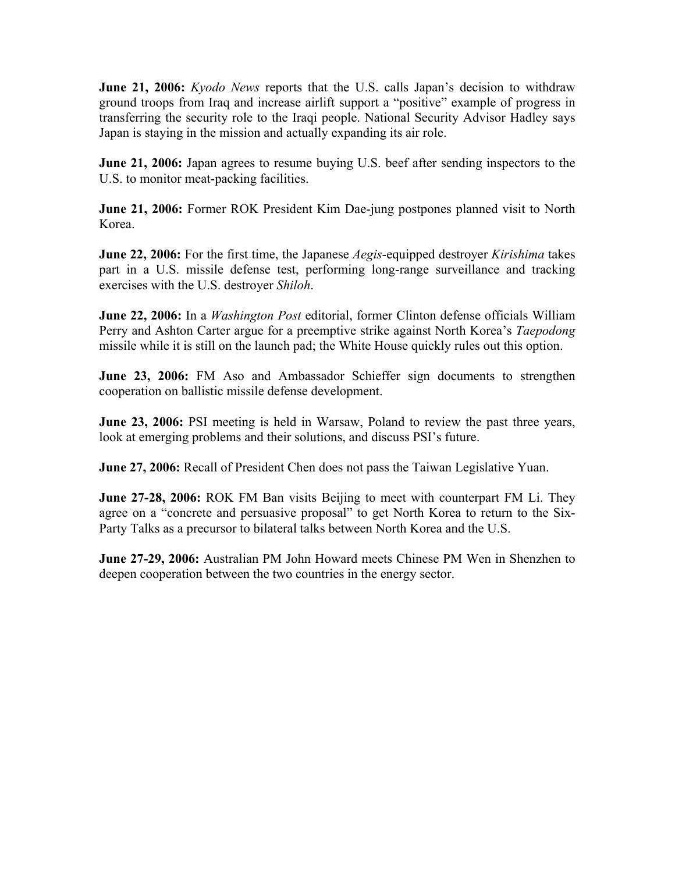**June 21, 2006:** *Kyodo News* reports that the U.S. calls Japan's decision to withdraw ground troops from Iraq and increase airlift support a "positive" example of progress in transferring the security role to the Iraqi people. National Security Advisor Hadley says Japan is staying in the mission and actually expanding its air role.

**June 21, 2006:** Japan agrees to resume buying U.S. beef after sending inspectors to the U.S. to monitor meat-packing facilities.

**June 21, 2006:** Former ROK President Kim Dae-jung postpones planned visit to North Korea.

**June 22, 2006:** For the first time, the Japanese *Aegis*-equipped destroyer *Kirishima* takes part in a U.S. missile defense test, performing long-range surveillance and tracking exercises with the U.S. destroyer *Shiloh*.

**June 22, 2006:** In a *Washington Post* editorial, former Clinton defense officials William Perry and Ashton Carter argue for a preemptive strike against North Korea's *Taepodong* missile while it is still on the launch pad; the White House quickly rules out this option.

**June 23, 2006:** FM Aso and Ambassador Schieffer sign documents to strengthen cooperation on ballistic missile defense development.

**June 23, 2006:** PSI meeting is held in Warsaw, Poland to review the past three years, look at emerging problems and their solutions, and discuss PSI's future.

**June 27, 2006:** Recall of President Chen does not pass the Taiwan Legislative Yuan.

**June 27-28, 2006:** ROK FM Ban visits Beijing to meet with counterpart FM Li. They agree on a "concrete and persuasive proposal" to get North Korea to return to the Six-Party Talks as a precursor to bilateral talks between North Korea and the U.S.

**June 27-29, 2006:** Australian PM John Howard meets Chinese PM Wen in Shenzhen to deepen cooperation between the two countries in the energy sector.